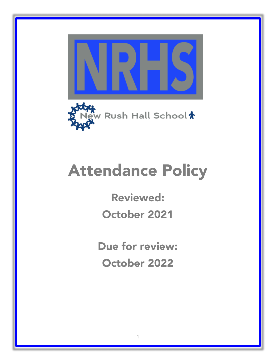



## Attendance Policy

Reviewed: October 2021

Due for review: October 2022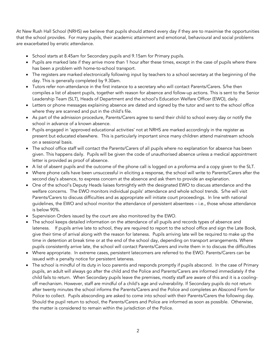At New Rush Hall School (NRHS) we believe that pupils should attend every day if they are to maximise the opportunities that the school provides. For many pupils, their academic attainment and emotional, behavioural and social problems are exacerbated by erratic attendance.

- School starts at 8.45am for Secondary pupils and 9.15am for Primary pupils.
- Pupils are marked late if they arrive more than 1 hour after these times, except in the case of pupils where there has been a problem with home-to-school transport.
- The registers are marked electronically following input by teachers to a school secretary at the beginning of the day. This is generally completed by 9.30am.
- Tutors refer non-attendance in the first instance to a secretary who will contact Parents/Carers. S/he then compiles a list of absent pupils, together with reason for absence and follow-up actions. This is sent to the Senior Leadership Team (SLT), Heads of Department and the school's Education Welfare Officer (EWO), daily.
- Letters or phone messages explaining absence are dated and signed by the tutor and sent to the school office where they are scanned and put in the child's file.
- As part of the admission procedure, Parents/Carers agree to send their child to school every day or notify the school in advance of a known absence.
- Pupils engaged in 'approved educational activities' not at NRHS are marked accordingly in the register as present but educated elsewhere. This is particularly important since many children attend mainstream schools on a sessional basis.
- The school office staff will contact the Parents/Carers of all pupils where no explanation for absence has been given. This happens daily. Pupils will be given the code of unauthorised absence unless a medical appointment letter is provided as proof of absence.
- A list of absent pupils and the outcome of the phone call is logged on a proforma and a copy given to the SLT.
- Where phone calls have been unsuccessful in eliciting a response, the school will write to Parents/Carers after the second day's absence, to express concern at the absence and ask them to provide an explanation.
- One of the school's Deputy Heads liaises fortnightly with the designated EWO to discuss attendance and the welfare concerns. The EWO monitors individual pupils' attendance and whole school trends. S/he will visit Parents/Carers to discuss difficulties and as appropriate will initiate court proceedings. In line with national guidelines, the EWO and school monitor the attendance of persistent absentees – i.e., those whose attendance is below 90%.
- Supervision Orders issued by the court are also monitored by the EWO.
- The school keeps detailed information on the attendance of all pupils and records types of absence and lateness. If pupils arrive late to school, they are required to report to the school office and sign the Late Book, give their time of arrival along with the reason for lateness. Pupils arriving late will be required to make up the time in detention at break time or at the end of the school day, depending on transport arrangements. Where pupils consistently arrive late, the school will contact Parents/Carers and invite them in to discuss the difficulties
- Where appropriate. In extreme cases, persistent latecomers are referred to the EWO. Parents/Carers can be issued with a penalty notice for persistent lateness.
- The school is mindful of its duty in loco parentis and responds promptly if pupils abscond. In the case of Primary pupils, an adult will always go after the child and the Police and Parents/Carers are informed immediately if the child fails to return. When Secondary pupils leave the premises, mostly staff are aware of this and it is a coolingoff mechanism. However, staff are mindful of a child's age and vulnerability. If Secondary pupils do not return after twenty minutes the school informs the Parents/Carers and the Police and completes an Abscond Form for Police to collect. Pupils absconding are asked to come into school with their Parents/Carers the following day. Should the pupil return to school, the Parents/Carers and Police are informed as soon as possible. Otherwise, the matter is considered to remain within the jurisdiction of the Police.